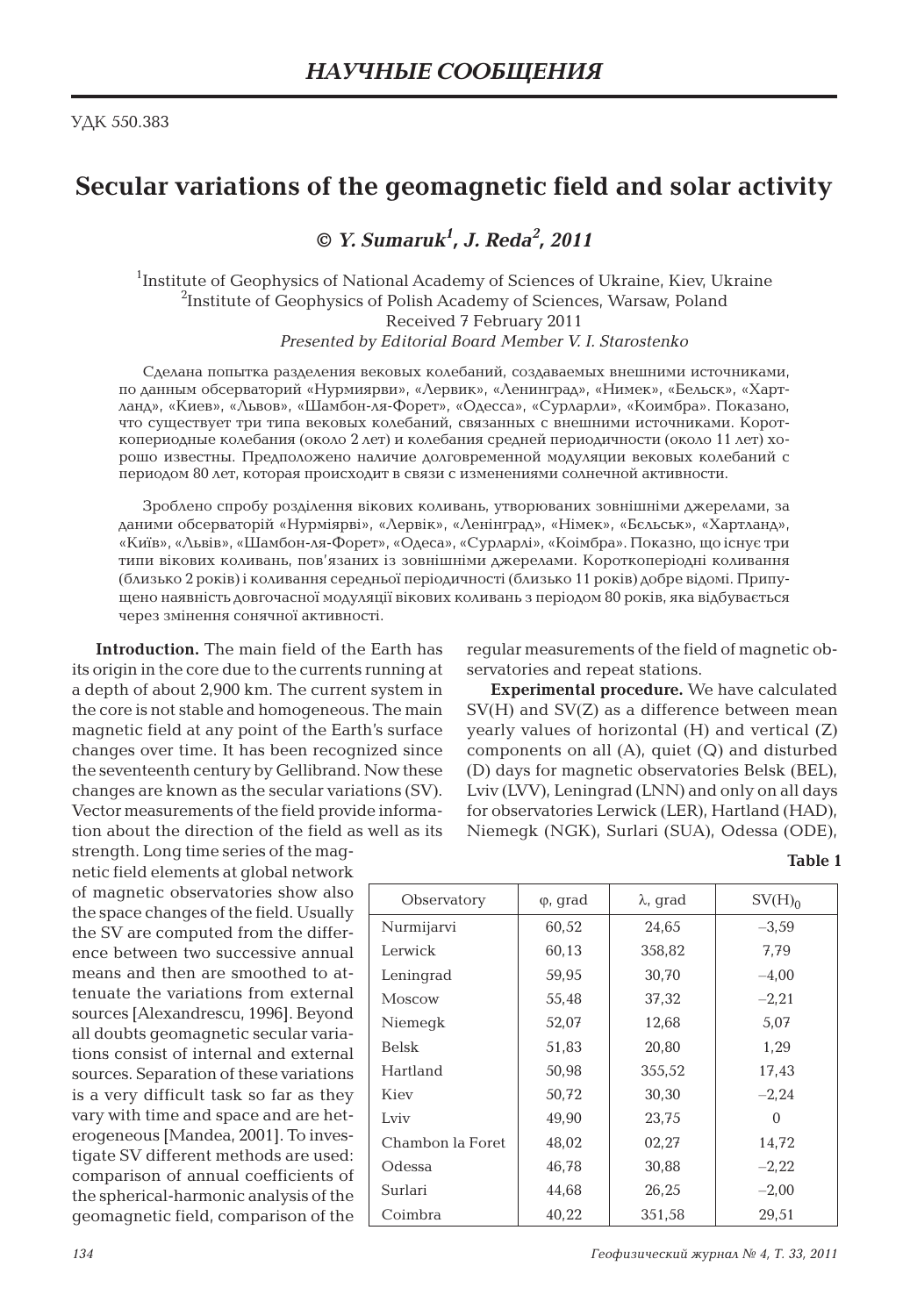## **Secular variations of the geomagnetic field and solar activity**

**©** *Y. Sumaruk<sup>1</sup> , J. Reda<sup>2</sup> , 2011*

<sup>1</sup>Institute of Geophysics of National Academy of Sciences of Ukraine, Kiev, Ukraine  $^{2}$ Institute of Geophysics of Polish Academy of Sciences, Warsaw, Poland Received 7 February 2011 *Presented by Editorial Board Member V. I. Starostenko*

Сделана попытка разделения вековых колебаний, создаваемых внешними источниками, по данным обсерваторий «Нурмиярви», «Лервик», «Ленинград», «Нимек», «Бельск», «Хартланд», «Киев», «Львов», «Шамбон-ля-Форет», «Одесса», «Сурларли», «Коимбра». Показано, что существует три типа вековых колебаний, связанных с внешними источниками. Короткопериодные колебания (около 2 лет) и колебания средней периодичности (около 11 лет) хорошо известны. Предположено наличие долговременной модуляции вековых колебаний с периодом 80 лет, которая происходит в связи с изменениями солнечной активности.

Зроблено спробу розділення вікових коливань, утворюваних зовнішніми джерелами, за даними обсерваторій «Нурміярві», «Лервік», «Ленінград», «Німек», «Бєльськ», «Хартланд», «Київ», «Львів», «Шамбон-ля-Форет», «Одеса», «Сурларлі», «Коімбра». Показно, що існує три типи вікових коливань, пов'язаних із зовнішніми джерелами. Короткоперіодні коливання (близько 2 років) і коливання середньої періодичності (близько 11 років) добре відомі. Припущено наявність довгочасної модуляції вікових коливань з періодом 80 років, яка відбувається через змінення сонячної активності.

**Introduction.** The main field of the Earth has its origin in the core due to the currents running at a depth of about 2,900 km. The current system in the core is not stable and homogeneous. The main magnetic field at any point of the Earth's surface changes over time. It has been recognized since the seventeenth century by Gellibrand. Now these changes are known as the secular variations (SV). Vector measurements of the field provide information about the direction of the field as well as its

strength. Long time series of the magnetic field elements at global network of magnetic observatories show also the space changes of the field. Usually the SV are computed from the difference between two successive annual means and then are smoothed to attenuate the variations from external sources [Alexandrescu, 1996]. Beyond all doubts geomagnetic secular variations consist of internal and external sources. Separation of these variations is a very difficult task so far as they vary with time and space and are heterogeneous [Mandea, 2001]. To investigate SV different methods are used: comparison of annual coefficients of the spherical-harmonic analysis of the geomagnetic field, comparison of the regular measurements of the field of magnetic observatories and repeat stations.

**Experimental procedure.** We have calculated SV(H) and SV(Z) as a difference between mean yearly values of horizontal (H) and vertical (Z) components on all (A), quiet (Q) and disturbed (D) days for magnetic observatories Belsk (BEL), Lviv (LVV), Leningrad (LNN) and only on all days for observatories Lerwick (LER), Hartland (HAD), Niemegk (NGK), Surlari (SUA), Odessa (ODE),

## **Table 1**

| Observatory      | $\varphi$ , grad | $\lambda$ , grad | SV(H) <sub>0</sub> |
|------------------|------------------|------------------|--------------------|
| Nurmijarvi       | 60.52            | 24,65            | $-3,59$            |
| Lerwick          | 60.13            | 358.82           | 7.79               |
| Leningrad        | 59,95            | 30,70            | $-4,00$            |
| Moscow           | 55,48            | 37,32            | $-2,21$            |
| Niemegk          | 52.07            | 12,68            | 5,07               |
| <b>Belsk</b>     | 51,83            | 20,80            | 1,29               |
| Hartland         | 50,98            | 355,52           | 17,43              |
| Kiev             | 50,72            | 30.30            | $-2,24$            |
| Lviv             | 49,90            | 23,75            | 0                  |
| Chambon la Foret | 48.02            | 02,27            | 14,72              |
| Odessa           | 46,78            | 30,88            | $-2,22$            |
| Surlari          | 44,68            | 26,25            | $-2,00$            |
| Coimbra          | 40.22            | 351,58           | 29.51              |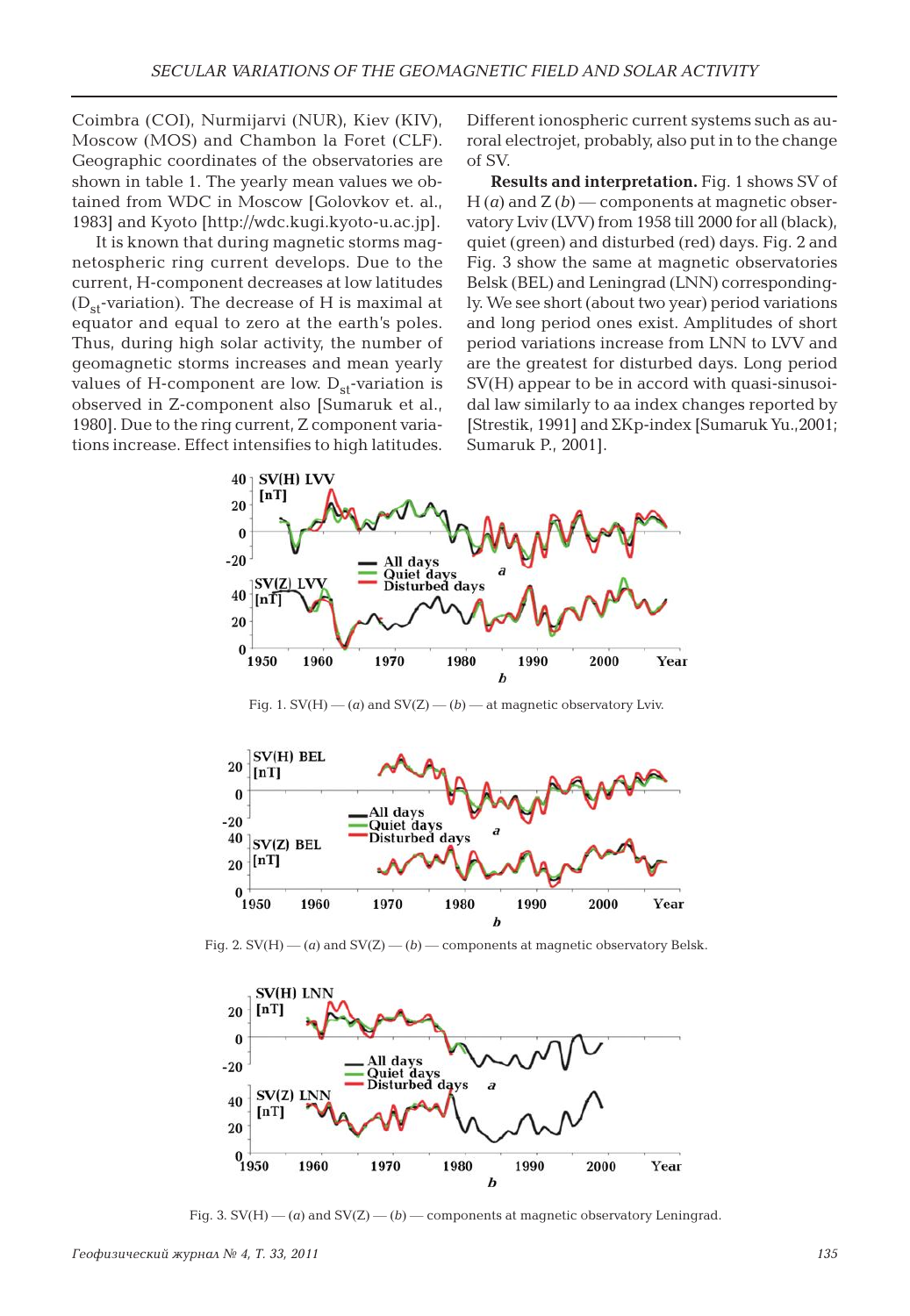Coimbra (COI), Nurmijarvi (NUR), Kiev (KIV), Moscow (MOS) and Chambon la Foret (CLF). Geographic coordinates of the observatories are shown in table 1. The yearly mean values we obtained from WDC in Moscow [Golovkov et. al., 1983] and Kyoto [http://wdc.kugi.kyoto-u.ac.jp].

It is known that during magnetic storms magnetospheric ring current develops. Due to the current, H-component decreases at low latitudes  $(D_{st}$ -variation). The decrease of H is maximal at equator and equal to zero at the earth's poles. Thus, during high solar activity, the number of geomagnetic storms increases and mean yearly values of H-component are low.  $D_{st}$ -variation is observed in Z-component also [Sumaruk et al., 1980]. Due to the ring current, Z component variations increase. Effect intensifies to high latitudes. Different ionospheric current systems such as auroral electrojet, probably, also put in to the change of SV.

**Results and interpretation.** Fig. 1 shows SV of  $H(a)$  and  $Z(b)$  — components at magnetic observatory Lviv (LVV) from 1958 till 2000 for all (black), quiet (green) and disturbed (red) days. Fig. 2 and Fig. 3 show the same at magnetic observatories Belsk (BEL) and Leningrad (LNN) correspondingly. We see short (about two year) period variations and long period ones exist. Amplitudes of short period variations increase from LNN to LVV and are the greatest for disturbed days. Long period SV(H) appear to be in accord with quasi-sinusoidal law similarly to aa index changes reported by [Strestik, 1991] and SKp-index [Sumaruk Yu.,2001; Sumaruk P., 2001].



Fig. 1.  $SV(H)$  — (*a*) and  $SV(Z)$  — (*b*) — at magnetic observatory Lviv.



Fig. 2. SV(H) — (*a*) and SV(Z) — (*b*) — components at magnetic observatory Belsk.



Fig. 3.  $SV(H)$  — (*a*) and  $SV(Z)$  — (*b*) — components at magnetic observatory Leningrad.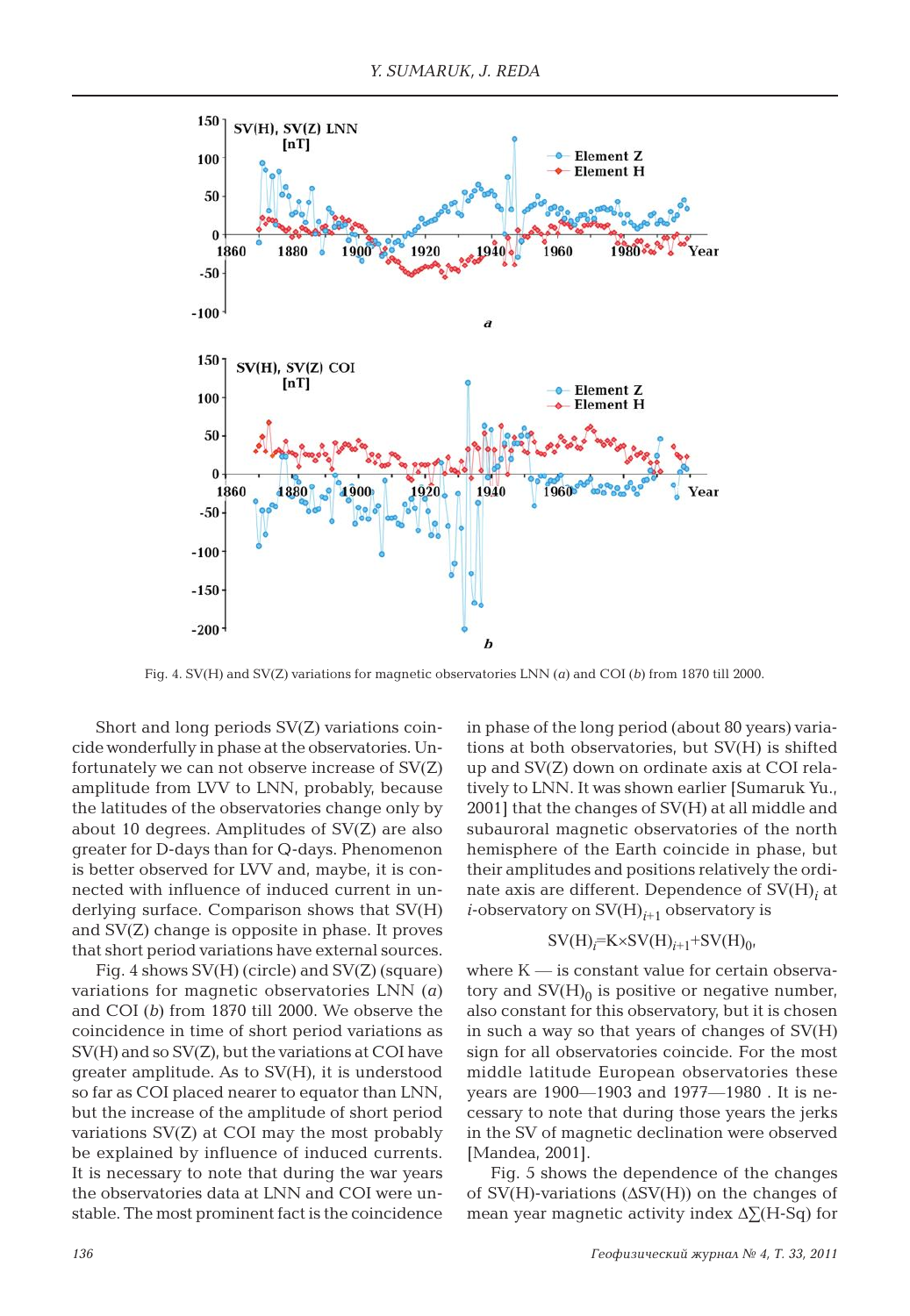

Fig. 4. SV(H) and SV(Z) variations for magnetic observatories LNN (*a*) and COI (*b*) from 1870 till 2000.

Short and long periods SV(Z) variations coincide wonderfully in phase at the observatories. Unfortunately we can not observe increase of SV(Z) amplitude from LVV to LNN, probably, because the latitudes of the observatories change only by about 10 degrees. Amplitudes of SV(Z) are also greater for D-days than for Q-days. Phenomenon is better observed for LVV and, maybe, it is connected with influence of induced current in underlying surface. Comparison shows that SV(H) and SV(Z) change is opposite in phase. It proves that short period variations have external sources.

Fig. 4 shows SV(H) (circle) and SV(Z) (square) variations for magnetic observatories LNN (*a*) and COI (*b*) from 1870 till 2000. We observe the coincidence in time of short period variations as SV(H) and so SV(Z), but the variations at COI have greater amplitude. As to SV(H), it is understood so far as COI placed nearer to equator than LNN, but the increase of the amplitude of short period variations SV(Z) at COI may the most probably be explained by influence of induced currents. It is necessary to note that during the war years the observatories data at LNN and COI were unstable. The most prominent fact is the coincidence in phase of the long period (about 80 years) variations at both observatories, but SV(H) is shifted up and SV(Z) down on ordinate axis at COI relatively to LNN. It was shown earlier [Sumaruk Yu., 2001] that the changes of SV(H) at all middle and subauroral magnetic observatories of the north hemisphere of the Earth coincide in phase, but their amplitudes and positions relatively the ordinate axis are different. Dependence of  $\mathrm{SV}(\mathrm{H})_i$  at *i*-observatory on  $SV(H)_{i+1}$  observatory is

## $SV(H)_{i} = K \times SV(H)_{i+1} + SV(H)_{0}$

where  $K$  — is constant value for certain observatory and  $SV(H)<sub>0</sub>$  is positive or negative number, also constant for this observatory, but it is chosen in such a way so that years of changes of SV(H) sign for all observatories coincide. For the most middle latitude European observatories these years are 1900—1903 and 1977—1980 . It is necessary to note that during those years the jerks in the SV of magnetic declination were observed [Mandea, 2001].

Fig. 5 shows the dependence of the changes of SV(H)-variations (∆SV(H)) on the changes of mean year magnetic activity index ∆∑(H-Sq) for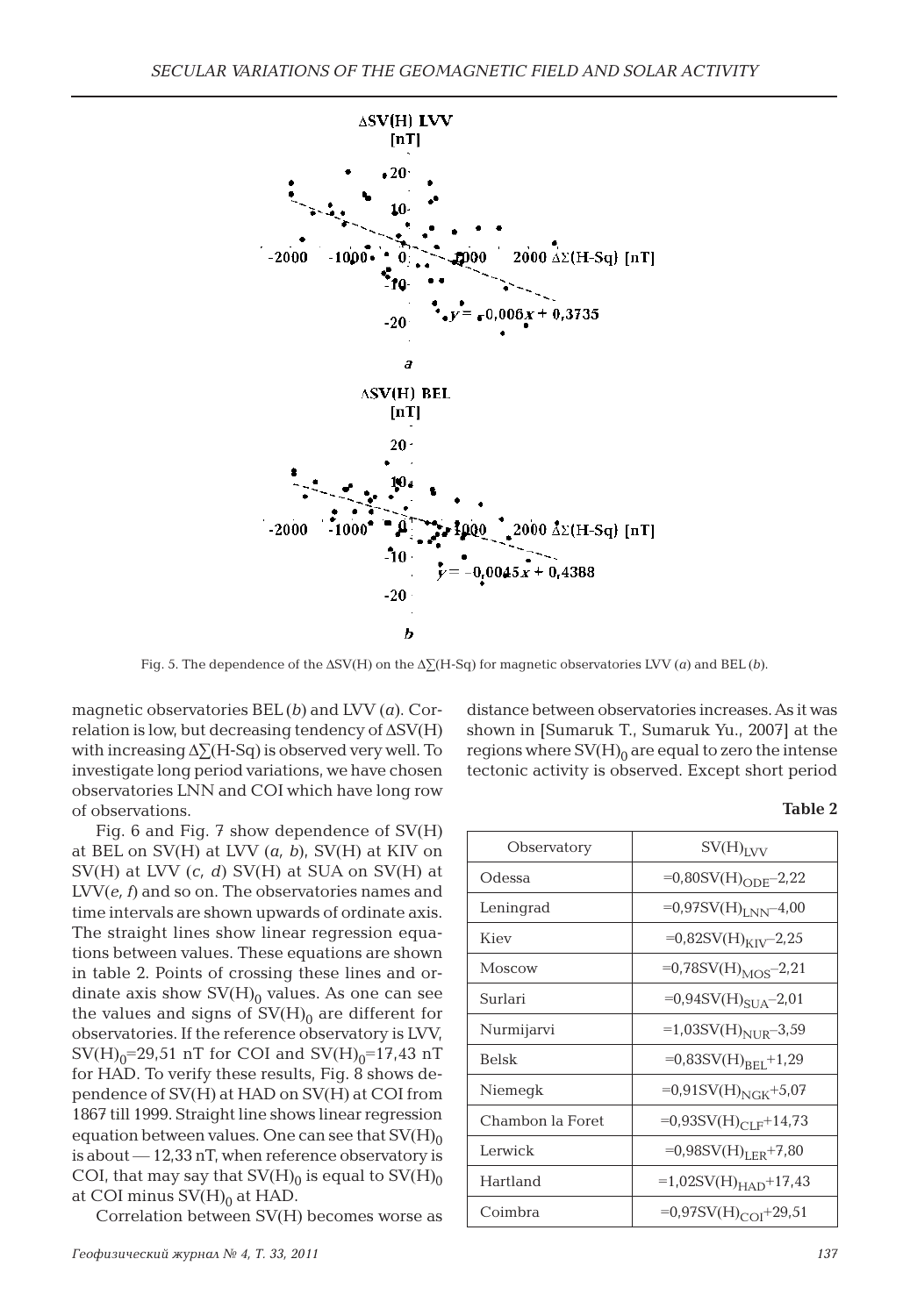

Fig. 5. The dependence of the ∆SV(H) on the ∆∑(H-Sq) for magnetic observatories LVV (*a*) and BEL (*b*).

magnetic observatories BEL (*b*) and LVV (*a*). Correlation is low, but decreasing tendency of ∆SV(H) with increasing ∆∑(H-Sq) is observed very well. To investigate long period variations, we have chosen observatories LNN and COI which have long row of observations.

Fig. 6 and Fig. 7 show dependence of SV(H) at BEL on SV(H) at LVV (*a, b*), SV(H) at KIV on SV(H) at LVV (*c, d*) SV(H) at SUA on SV(H) at LVV(*e, f*) and so on. The observatories names and time intervals are shown upwards of ordinate axis. The straight lines show linear regression equations between values. These equations are shown in table 2. Points of crossing these lines and ordinate axis show  $SV(H)<sub>0</sub>$  values. As one can see the values and signs of  $SV(H)<sub>0</sub>$  are different for observatories. If the reference observatory is LVV,  $SV(H)_0 = 29,51$  nT for COI and  $SV(H)_0 = 17,43$  nT for HAD. To verify these results, Fig. 8 shows dependence of SV(H) at HAD on SV(H) at COI from 1867 till 1999. Straight line shows linear regression equation between values. One can see that  $SV(H)_{0}$ is about — 12,33 nT, when reference observatory is COI, that may say that  $SV(H)_0$  is equal to  $SV(H)_0$ at COI minus  $SV(H)<sub>0</sub>$  at HAD.

Correlation between SV(H) becomes worse as

*Геофизический журнал № 4, Т. 33, 2011 137*

distance between observatories increases. As it was shown in [Sumaruk T., Sumaruk Yu., 2007] at the regions where  $SV(H)_0$  are equal to zero the intense tectonic activity is observed. Except short period

| ۰,<br>×<br>٠ |  |
|--------------|--|
|--------------|--|

| Observatory      | $SV(H)_{IVV}$                        |
|------------------|--------------------------------------|
| Odessa           | $=0,80SV(H)_{ODE} - 2,22$            |
| Leningrad        | $=0.97$ SV $(H)_{LNN}$ -4.00         |
| Kiev             | $=0.82$ SV(H) <sub>KIV</sub> -2.25   |
| Moscow           | $=0.78$ SV(H) <sub>MOS</sub> -2,21   |
| Surlari          | $=0.94$ SV(H) <sub>SUA</sub> -2,01   |
| Nurmijarvi       | $=1,03SV(H)_{NUIR} - 3,59$           |
| <b>Belsk</b>     | $=0,83SV(H)_{BET}+1,29$              |
| Niemegk          | $=0.91$ SV(H) <sub>NGK</sub> +5.07   |
| Chambon la Foret | $=0.93$ SV(H) <sub>CLF</sub> +14.73  |
| Lerwick          | $=0.98SV(H)_{LER}+7.80$              |
| Hartland         | $=1,02SV(H)_{HAD}+17,43$             |
| Coimbra          | $=0.97$ SV(H) <sub>COI</sub> + 29.51 |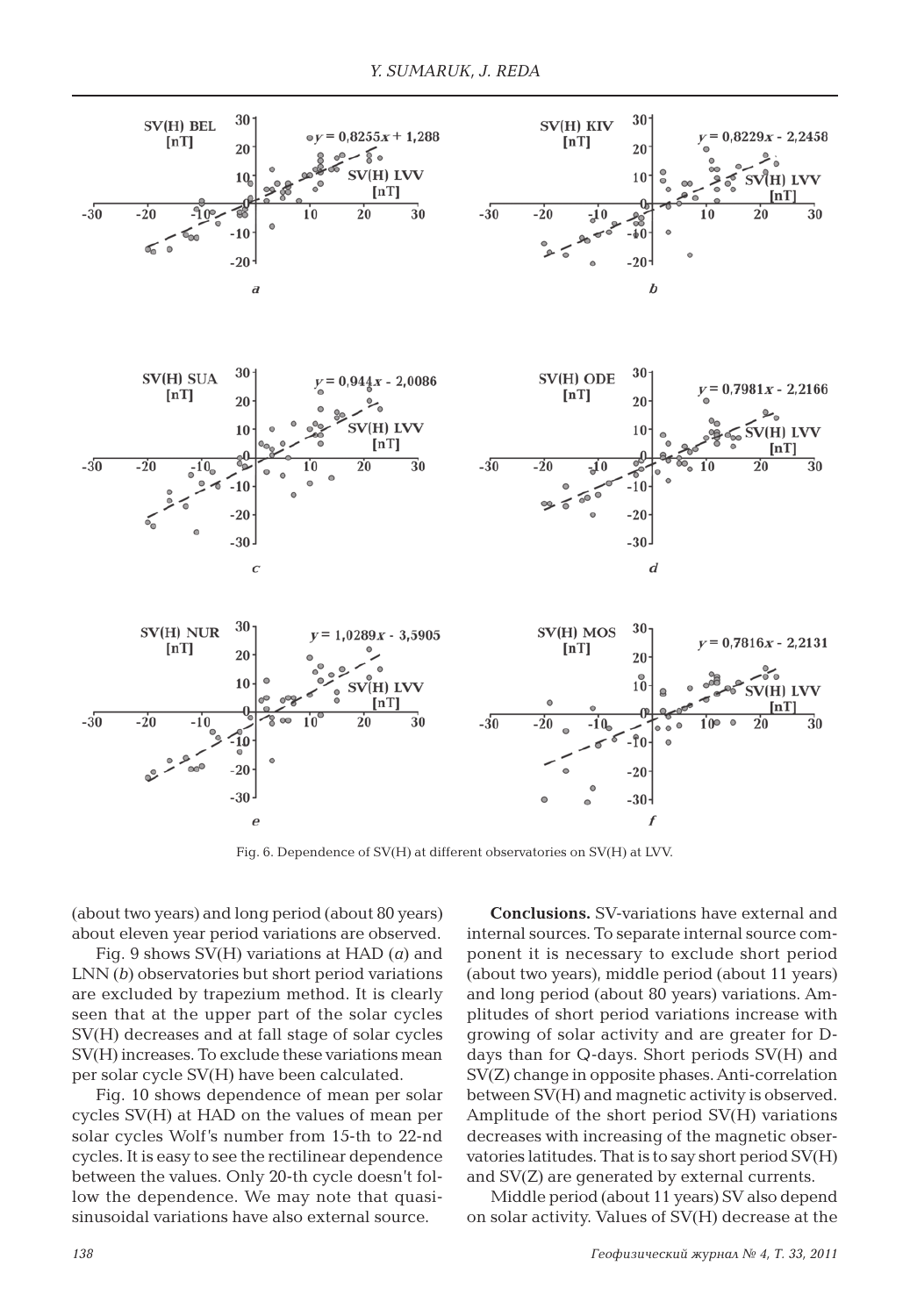

Fig. 6. Dependence of SV(H) at different observatories on SV(H) at LVV.

(about two years) and long period (about 80 years) about eleven year period variations are observed.

Fig. 9 shows SV(H) variations at HAD (*a*) and LNN (*b*) observatories but short period variations are excluded by trapezium method. It is clearly seen that at the upper part of the solar cycles SV(H) decreases and at fall stage of solar cycles SV(H) increases. To exclude these variations mean per solar cycle SV(H) have been calculated.

Fig. 10 shows dependence of mean per solar cycles SV(H) at HAD on the values of mean per solar cycles Wolf's number from 15-th to 22-nd cycles. It is easy to see the rectilinear dependence between the values. Only 20-th cycle doesn't follow the dependence. We may note that quasisinusoidal variations have also external source.

**Conclusions.** SV-variations have external and internal sources. To separate internal source component it is necessary to exclude short period (about two years), middle period (about 11 years) and long period (about 80 years) variations. Amplitudes of short period variations increase with growing of solar activity and are greater for Ddays than for Q-days. Short periods SV(H) and SV(Z) change in opposite phases. Anti-correlation between SV(H) and magnetic activity is observed. Amplitude of the short period SV(H) variations decreases with increasing of the magnetic observatories latitudes. That is to say short period SV(H) and SV(Z) are generated by external currents.

Middle period (about 11 years) SV also depend on solar activity. Values of SV(H) decrease at the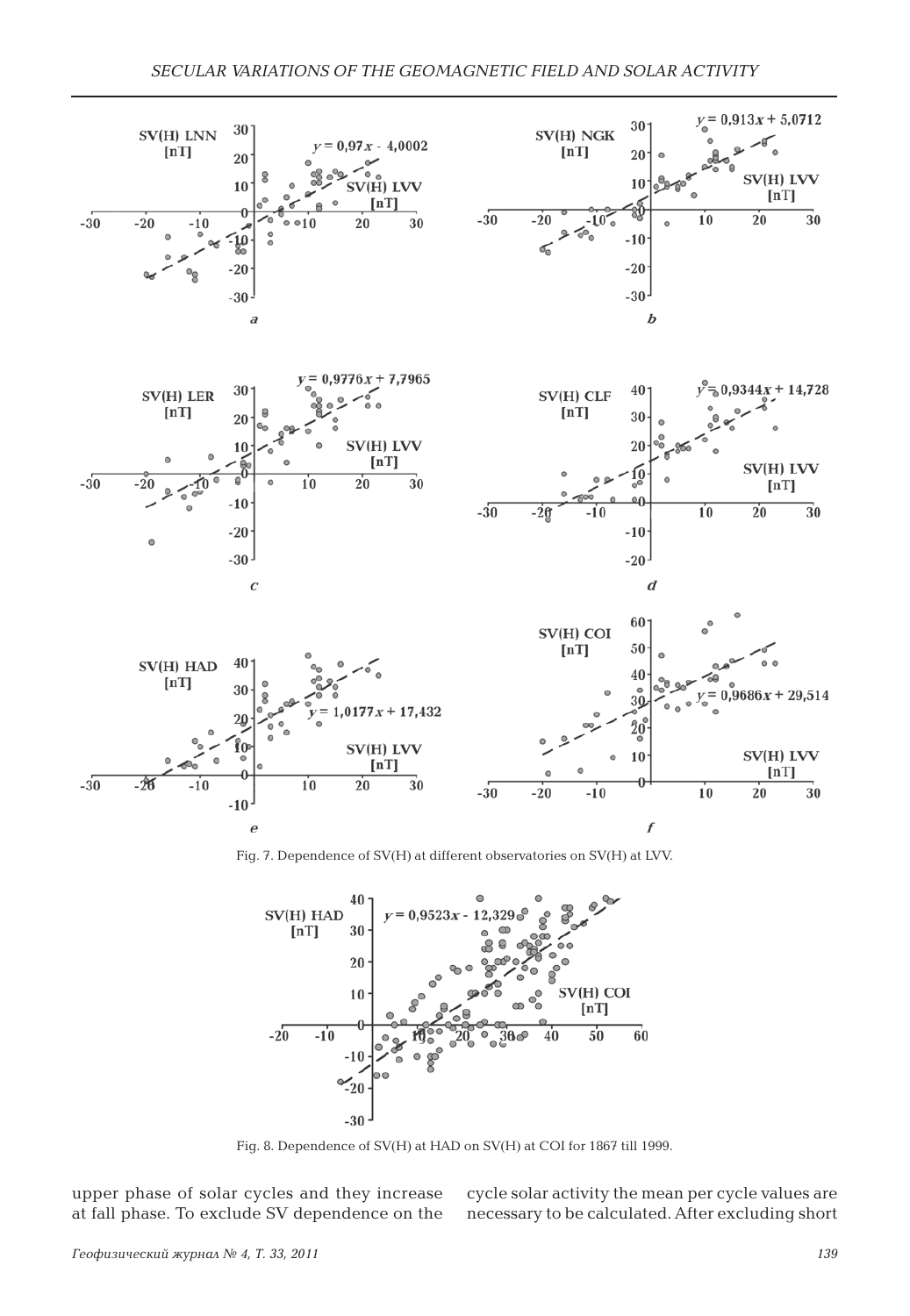

Fig. 7. Dependence of SV(H) at different observatories on SV(H) at LVV.



Fig. 8. Dependence of SV(H) at HAD on SV(H) at COI for 1867 till 1999.

upper phase of solar cycles and they increase at fall phase. To exclude SV dependence on the

cycle solar activity the mean per cycle values are necessary to be calculated. After excluding short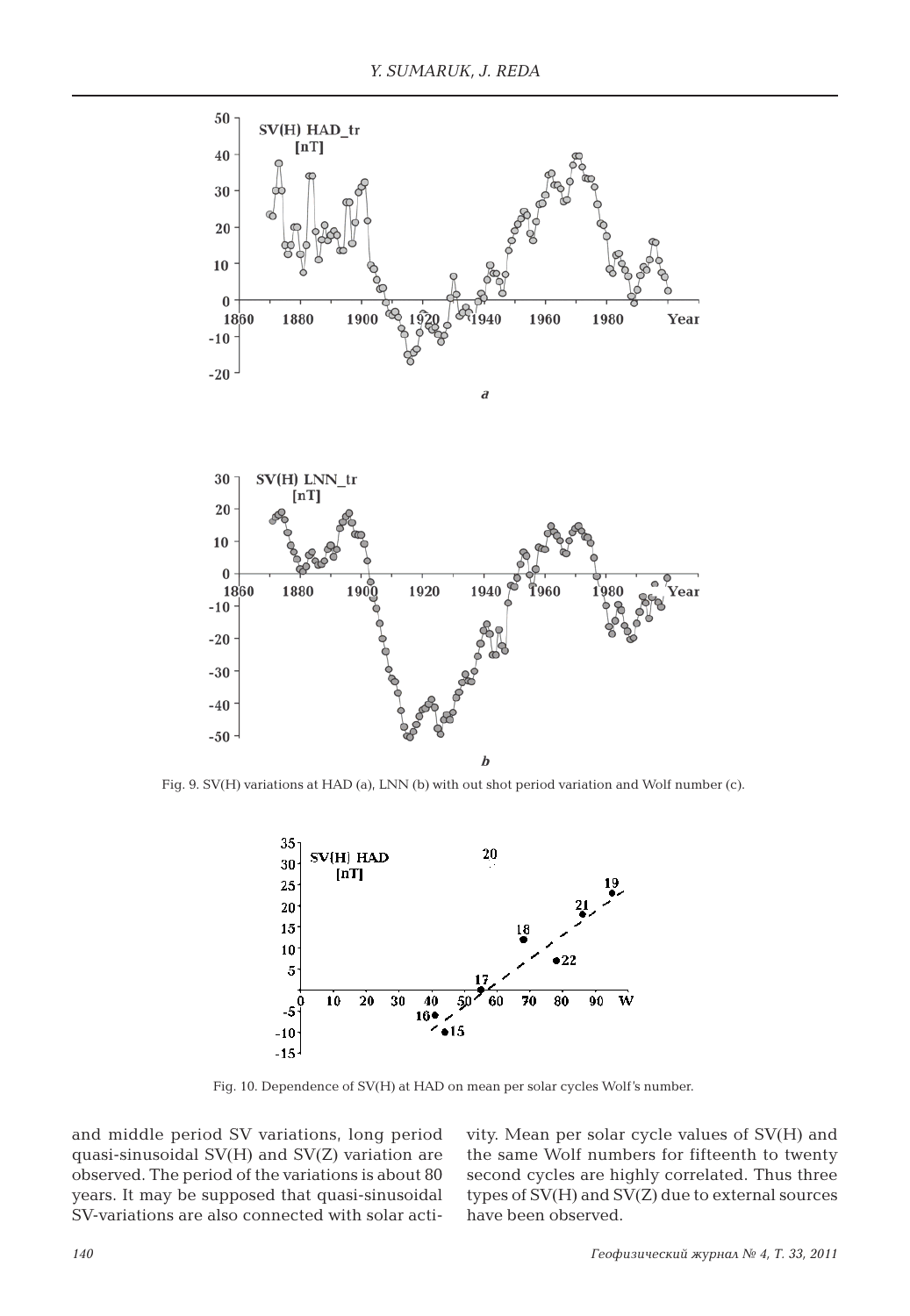

Fig. 9. SV(H) variations at HAD (a), LNN (b) with out shot period variation and Wolf number (c).



Fig. 10. Dependence of SV(H) at HAD on mean per solar cycles Wolf's number.

and middle period SV variations, long period quasi-sinusoidal SV(H) and SV(Z) variation are observed. The period of the variations is about 80 years. It may be supposed that quasi-sinusoidal SV-variations are also connected with solar activity. Mean per solar cycle values of SV(H) and the same Wolf numbers for fifteenth to twenty second cycles are highly correlated. Thus three types of SV(H) and SV(Z) due to external sources have been observed.